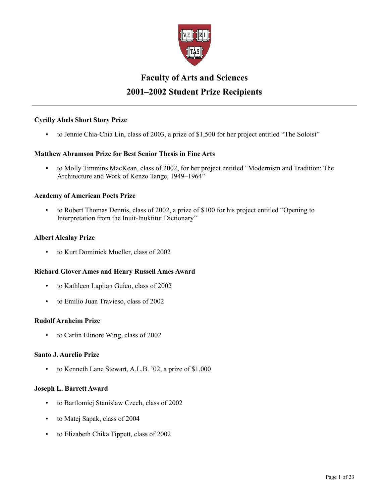

# **Faculty of Arts and Sciences 2001–2002 Student Prize Recipients**

# **Cyrilly Abels Short Story Prize**

• to Jennie Chia-Chia Lin, class of 2003, a prize of \$1,500 for her project entitled "The Soloist"

# **Matthew Abramson Prize for Best Senior Thesis in Fine Arts**

• to Molly Timmins MacKean, class of 2002, for her project entitled "Modernism and Tradition: The Architecture and Work of Kenzo Tange, 1949–1964"

# **Academy of American Poets Prize**

• to Robert Thomas Dennis, class of 2002, a prize of \$100 for his project entitled "Opening to Interpretation from the Inuit-Inuktitut Dictionary"

## **Albert Alcalay Prize**

• to Kurt Dominick Mueller, class of 2002

# **Richard Glover Ames and Henry Russell Ames Award**

- to Kathleen Lapitan Guico, class of 2002
- to Emilio Juan Travieso, class of 2002

#### **Rudolf Arnheim Prize**

• to Carlin Elinore Wing, class of 2002

#### **Santo J. Aurelio Prize**

• to Kenneth Lane Stewart, A.L.B. '02, a prize of \$1,000

#### **Joseph L. Barrett Award**

- to Bartlomiej Stanislaw Czech, class of 2002
- to Matej Sapak, class of 2004
- to Elizabeth Chika Tippett, class of 2002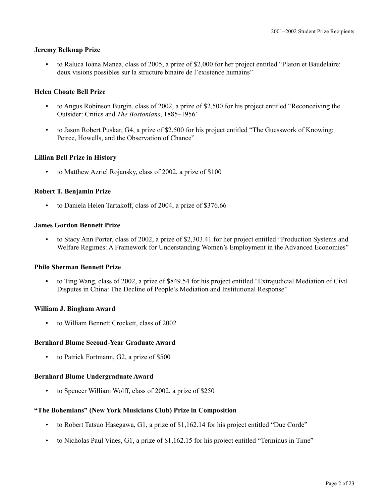#### **Jeremy Belknap Prize**

• to Raluca Ioana Manea, class of 2005, a prize of \$2,000 for her project entitled "Platon et Baudelaire: deux visions possibles sur la structure binaire de l'existence humains"

# **Helen Choate Bell Prize**

- to Angus Robinson Burgin, class of 2002, a prize of \$2,500 for his project entitled "Reconceiving the Outsider: Critics and *The Bostonians*, 1885–1956"
- to Jason Robert Puskar, G4, a prize of \$2,500 for his project entitled "The Guesswork of Knowing: Peirce, Howells, and the Observation of Chance"

## **Lillian Bell Prize in History**

• to Matthew Azriel Rojansky, class of 2002, a prize of \$100

## **Robert T. Benjamin Prize**

• to Daniela Helen Tartakoff, class of 2004, a prize of \$376.66

## **James Gordon Bennett Prize**

• to Stacy Ann Porter, class of 2002, a prize of \$2,303.41 for her project entitled "Production Systems and Welfare Regimes: A Framework for Understanding Women's Employment in the Advanced Economies"

#### **Philo Sherman Bennett Prize**

• to Ting Wang, class of 2002, a prize of \$849.54 for his project entitled "Extrajudicial Mediation of Civil Disputes in China: The Decline of People's Mediation and Institutional Response"

#### **William J. Bingham Award**

• to William Bennett Crockett, class of 2002

# **Bernhard Blume Second-Year Graduate Award**

• to Patrick Fortmann, G2, a prize of \$500

#### **Bernhard Blume Undergraduate Award**

• to Spencer William Wolff, class of 2002, a prize of \$250

# **"The Bohemians" (New York Musicians Club) Prize in Composition**

- to Robert Tatsuo Hasegawa, G1, a prize of \$1,162.14 for his project entitled "Due Corde"
- to Nicholas Paul Vines, G1, a prize of \$1,162.15 for his project entitled "Terminus in Time"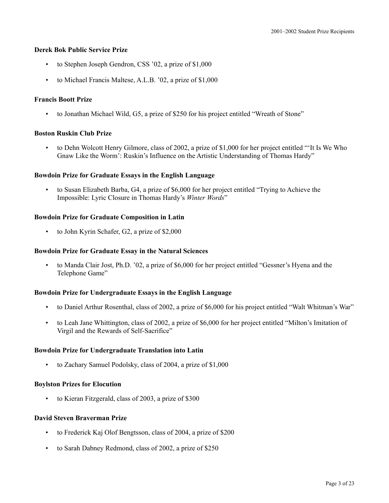#### **Derek Bok Public Service Prize**

- to Stephen Joseph Gendron, CSS '02, a prize of \$1,000
- to Michael Francis Maltese, A.L.B. '02, a prize of \$1,000

# **Francis Boott Prize**

• to Jonathan Michael Wild, G5, a prize of \$250 for his project entitled "Wreath of Stone"

# **Boston Ruskin Club Prize**

• to Dehn Wolcott Henry Gilmore, class of 2002, a prize of \$1,000 for her project entitled "'It Is We Who Gnaw Like the Worm': Ruskin's Influence on the Artistic Understanding of Thomas Hardy"

# **Bowdoin Prize for Graduate Essays in the English Language**

• to Susan Elizabeth Barba, G4, a prize of \$6,000 for her project entitled "Trying to Achieve the Impossible: Lyric Closure in Thomas Hardy's *Winter Words*"

# **Bowdoin Prize for Graduate Composition in Latin**

• to John Kyrin Schafer, G2, a prize of \$2,000

# **Bowdoin Prize for Graduate Essay in the Natural Sciences**

• to Manda Clair Jost, Ph.D. '02, a prize of \$6,000 for her project entitled "Gessner's Hyena and the Telephone Game"

# **Bowdoin Prize for Undergraduate Essays in the English Language**

- to Daniel Arthur Rosenthal, class of 2002, a prize of \$6,000 for his project entitled "Walt Whitman's War"
- to Leah Jane Whittington, class of 2002, a prize of \$6,000 for her project entitled "Milton's Imitation of Virgil and the Rewards of Self-Sacrifice"

# **Bowdoin Prize for Undergraduate Translation into Latin**

• to Zachary Samuel Podolsky, class of 2004, a prize of \$1,000

# **Boylston Prizes for Elocution**

• to Kieran Fitzgerald, class of 2003, a prize of \$300

# **David Steven Braverman Prize**

- to Frederick Kaj Olof Bengtsson, class of 2004, a prize of \$200
- to Sarah Dabney Redmond, class of 2002, a prize of \$250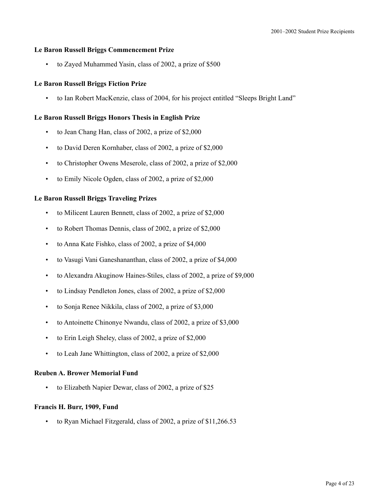## **Le Baron Russell Briggs Commencement Prize**

• to Zayed Muhammed Yasin, class of 2002, a prize of \$500

## **Le Baron Russell Briggs Fiction Prize**

• to Ian Robert MacKenzie, class of 2004, for his project entitled "Sleeps Bright Land"

#### **Le Baron Russell Briggs Honors Thesis in English Prize**

- to Jean Chang Han, class of 2002, a prize of \$2,000
- to David Deren Kornhaber, class of 2002, a prize of \$2,000
- to Christopher Owens Meserole, class of 2002, a prize of \$2,000
- to Emily Nicole Ogden, class of 2002, a prize of \$2,000

## **Le Baron Russell Briggs Traveling Prizes**

- to Milicent Lauren Bennett, class of 2002, a prize of \$2,000
- to Robert Thomas Dennis, class of 2002, a prize of \$2,000
- to Anna Kate Fishko, class of 2002, a prize of \$4,000
- to Vasugi Vani Ganeshananthan, class of 2002, a prize of \$4,000
- to Alexandra Akuginow Haines-Stiles, class of 2002, a prize of \$9,000
- to Lindsay Pendleton Jones, class of 2002, a prize of \$2,000
- to Sonja Renee Nikkila, class of 2002, a prize of \$3,000
- to Antoinette Chinonye Nwandu, class of 2002, a prize of \$3,000
- to Erin Leigh Sheley, class of 2002, a prize of \$2,000
- to Leah Jane Whittington, class of 2002, a prize of \$2,000

#### **Reuben A. Brower Memorial Fund**

to Elizabeth Napier Dewar, class of 2002, a prize of \$25

#### **Francis H. Burr, 1909, Fund**

• to Ryan Michael Fitzgerald, class of 2002, a prize of \$11,266.53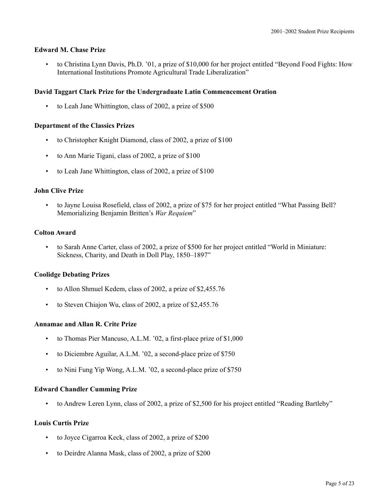# **Edward M. Chase Prize**

• to Christina Lynn Davis, Ph.D. '01, a prize of \$10,000 for her project entitled "Beyond Food Fights: How International Institutions Promote Agricultural Trade Liberalization"

# **David Taggart Clark Prize for the Undergraduate Latin Commencement Oration**

• to Leah Jane Whittington, class of 2002, a prize of \$500

# **Department of the Classics Prizes**

- to Christopher Knight Diamond, class of 2002, a prize of \$100
- to Ann Marie Tigani, class of 2002, a prize of \$100
- to Leah Jane Whittington, class of 2002, a prize of \$100

# **John Clive Prize**

• to Jayne Louisa Rosefield, class of 2002, a prize of \$75 for her project entitled "What Passing Bell? Memorializing Benjamin Britten's *War Requiem*"

## **Colton Award**

• to Sarah Anne Carter, class of 2002, a prize of \$500 for her project entitled "World in Miniature: Sickness, Charity, and Death in Doll Play, 1850–1897"

# **Coolidge Debating Prizes**

- to Allon Shmuel Kedem, class of 2002, a prize of \$2,455.76
- to Steven Chiajon Wu, class of 2002, a prize of \$2,455.76

# **Annamae and Allan R. Crite Prize**

- to Thomas Pier Mancuso, A.L.M. '02, a first-place prize of \$1,000
- to Diciembre Aguilar, A.L.M. '02, a second-place prize of \$750
- to Nini Fung Yip Wong, A.L.M. '02, a second-place prize of \$750

# **Edward Chandler Cumming Prize**

• to Andrew Leren Lynn, class of 2002, a prize of \$2,500 for his project entitled "Reading Bartleby"

# **Louis Curtis Prize**

- to Joyce Cigarroa Keck, class of 2002, a prize of \$200
- to Deirdre Alanna Mask, class of 2002, a prize of \$200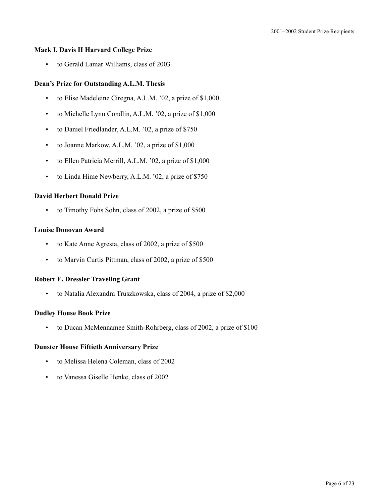## **Mack I. Davis II Harvard College Prize**

• to Gerald Lamar Williams, class of 2003

## **Dean's Prize for Outstanding A.L.M. Thesis**

- to Elise Madeleine Ciregna, A.L.M. '02, a prize of \$1,000
- to Michelle Lynn Condlin, A.L.M. '02, a prize of \$1,000
- to Daniel Friedlander, A.L.M. '02, a prize of \$750
- to Joanne Markow, A.L.M. '02, a prize of \$1,000
- to Ellen Patricia Merrill, A.L.M. '02, a prize of \$1,000
- to Linda Hime Newberry, A.L.M. '02, a prize of \$750

# **David Herbert Donald Prize**

• to Timothy Fohs Sohn, class of 2002, a prize of \$500

#### **Louise Donovan Award**

- to Kate Anne Agresta, class of 2002, a prize of \$500
- to Marvin Curtis Pittman, class of 2002, a prize of \$500

## **Robert E. Dressler Traveling Grant**

• to Natalia Alexandra Truszkowska, class of 2004, a prize of \$2,000

#### **Dudley House Book Prize**

• to Ducan McMennamee Smith-Rohrberg, class of 2002, a prize of \$100

#### **Dunster House Fiftieth Anniversary Prize**

- to Melissa Helena Coleman, class of 2002
- to Vanessa Giselle Henke, class of 2002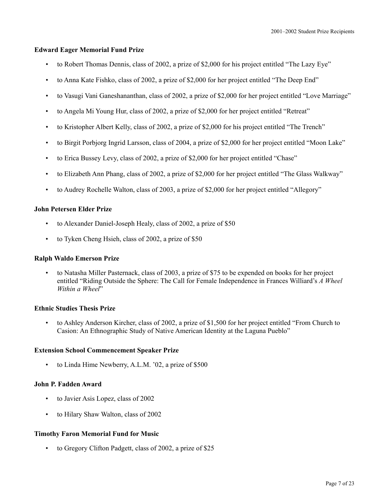# **Edward Eager Memorial Fund Prize**

- to Robert Thomas Dennis, class of 2002, a prize of \$2,000 for his project entitled "The Lazy Eye"
- to Anna Kate Fishko, class of 2002, a prize of \$2,000 for her project entitled "The Deep End"
- to Vasugi Vani Ganeshananthan, class of 2002, a prize of \$2,000 for her project entitled "Love Marriage"
- to Angela Mi Young Hur, class of 2002, a prize of \$2,000 for her project entitled "Retreat"
- to Kristopher Albert Kelly, class of 2002, a prize of \$2,000 for his project entitled "The Trench"
- to Birgit Porbjorg Ingrid Larsson, class of 2004, a prize of \$2,000 for her project entitled "Moon Lake"
- to Erica Bussey Levy, class of 2002, a prize of \$2,000 for her project entitled "Chase"
- to Elizabeth Ann Phang, class of 2002, a prize of \$2,000 for her project entitled "The Glass Walkway"
- to Audrey Rochelle Walton, class of 2003, a prize of \$2,000 for her project entitled "Allegory"

#### **John Petersen Elder Prize**

- to Alexander Daniel-Joseph Healy, class of 2002, a prize of \$50
- to Tyken Cheng Hsieh, class of 2002, a prize of \$50

#### **Ralph Waldo Emerson Prize**

• to Natasha Miller Pasternack, class of 2003, a prize of \$75 to be expended on books for her project entitled "Riding Outside the Sphere: The Call for Female Independence in Frances Williard's *A Wheel Within a Wheel*"

#### **Ethnic Studies Thesis Prize**

• to Ashley Anderson Kircher, class of 2002, a prize of \$1,500 for her project entitled "From Church to Casion: An Ethnographic Study of Native American Identity at the Laguna Pueblo"

#### **Extension School Commencement Speaker Prize**

• to Linda Hime Newberry, A.L.M. '02, a prize of \$500

## **John P. Fadden Award**

- to Javier Asis Lopez, class of 2002
- to Hilary Shaw Walton, class of 2002

#### **Timothy Faron Memorial Fund for Music**

• to Gregory Clifton Padgett, class of 2002, a prize of \$25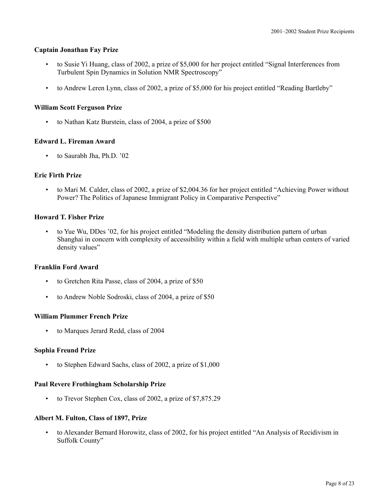## **Captain Jonathan Fay Prize**

- to Susie Yi Huang, class of 2002, a prize of \$5,000 for her project entitled "Signal Interferences from Turbulent Spin Dynamics in Solution NMR Spectroscopy"
- to Andrew Leren Lynn, class of 2002, a prize of \$5,000 for his project entitled "Reading Bartleby"

# **William Scott Ferguson Prize**

• to Nathan Katz Burstein, class of 2004, a prize of \$500

# **Edward L. Fireman Award**

• to Saurabh Jha, Ph.D. '02

# **Eric Firth Prize**

• to Mari M. Calder, class of 2002, a prize of \$2,004.36 for her project entitled "Achieving Power without Power? The Politics of Japanese Immigrant Policy in Comparative Perspective"

# **Howard T. Fisher Prize**

• to Yue Wu, DDes '02, for his project entitled "Modeling the density distribution pattern of urban Shanghai in concern with complexity of accessibility within a field with multiple urban centers of varied density values"

# **Franklin Ford Award**

- to Gretchen Rita Passe, class of 2004, a prize of \$50
- to Andrew Noble Sodroski, class of 2004, a prize of \$50

# **William Plummer French Prize**

• to Marques Jerard Redd, class of 2004

# **Sophia Freund Prize**

• to Stephen Edward Sachs, class of 2002, a prize of \$1,000

# **Paul Revere Frothingham Scholarship Prize**

• to Trevor Stephen Cox, class of 2002, a prize of \$7,875.29

# **Albert M. Fulton, Class of 1897, Prize**

• to Alexander Bernard Horowitz, class of 2002, for his project entitled "An Analysis of Recidivism in Suffolk County"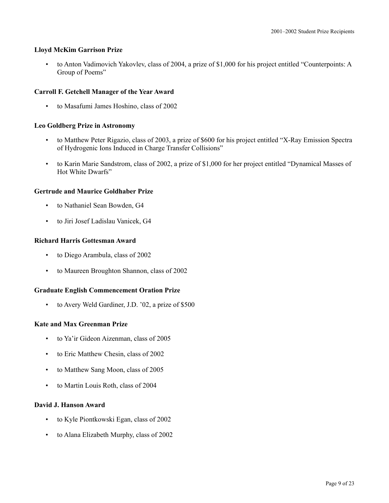## **Lloyd McKim Garrison Prize**

• to Anton Vadimovich Yakovlev, class of 2004, a prize of \$1,000 for his project entitled "Counterpoints: A Group of Poems"

## **Carroll F. Getchell Manager of the Year Award**

• to Masafumi James Hoshino, class of 2002

# **Leo Goldberg Prize in Astronomy**

- to Matthew Peter Rigazio, class of 2003, a prize of \$600 for his project entitled "X-Ray Emission Spectra of Hydrogenic Ions Induced in Charge Transfer Collisions"
- to Karin Marie Sandstrom, class of 2002, a prize of \$1,000 for her project entitled "Dynamical Masses of Hot White Dwarfs"

## **Gertrude and Maurice Goldhaber Prize**

- to Nathaniel Sean Bowden, G4
- to Jiri Josef Ladislau Vanicek, G4

## **Richard Harris Gottesman Award**

- to Diego Arambula, class of 2002
- to Maureen Broughton Shannon, class of 2002

# **Graduate English Commencement Oration Prize**

to Avery Weld Gardiner, J.D. '02, a prize of \$500

#### **Kate and Max Greenman Prize**

- to Ya'ir Gideon Aizenman, class of 2005
- to Eric Matthew Chesin, class of 2002
- to Matthew Sang Moon, class of 2005
- to Martin Louis Roth, class of 2004

## **David J. Hanson Award**

- to Kyle Piontkowski Egan, class of 2002
- to Alana Elizabeth Murphy, class of 2002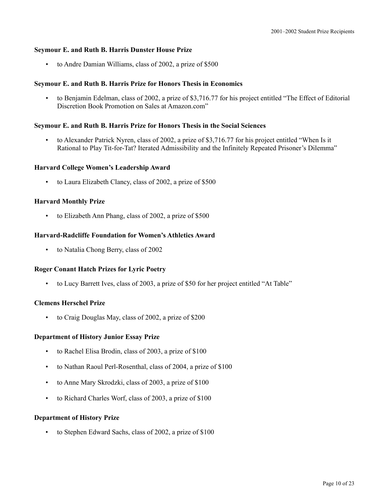## **Seymour E. and Ruth B. Harris Dunster House Prize**

• to Andre Damian Williams, class of 2002, a prize of \$500

## **Seymour E. and Ruth B. Harris Prize for Honors Thesis in Economics**

• to Benjamin Edelman, class of 2002, a prize of \$3,716.77 for his project entitled "The Effect of Editorial Discretion Book Promotion on Sales at Amazon.com"

#### **Seymour E. and Ruth B. Harris Prize for Honors Thesis in the Social Sciences**

• to Alexander Patrick Nyren, class of 2002, a prize of \$3,716.77 for his project entitled "When Is it Rational to Play Tit-for-Tat? Iterated Admissibility and the Infinitely Repeated Prisoner's Dilemma"

## **Harvard College Women's Leadership Award**

• to Laura Elizabeth Clancy, class of 2002, a prize of \$500

## **Harvard Monthly Prize**

to Elizabeth Ann Phang, class of 2002, a prize of \$500

## **Harvard-Radcliffe Foundation for Women's Athletics Award**

• to Natalia Chong Berry, class of 2002

#### **Roger Conant Hatch Prizes for Lyric Poetry**

• to Lucy Barrett Ives, class of 2003, a prize of \$50 for her project entitled "At Table"

#### **Clemens Herschel Prize**

• to Craig Douglas May, class of 2002, a prize of \$200

#### **Department of History Junior Essay Prize**

- to Rachel Elisa Brodin, class of 2003, a prize of \$100
- to Nathan Raoul Perl-Rosenthal, class of 2004, a prize of \$100
- to Anne Mary Skrodzki, class of 2003, a prize of \$100
- to Richard Charles Worf, class of 2003, a prize of \$100

# **Department of History Prize**

• to Stephen Edward Sachs, class of 2002, a prize of \$100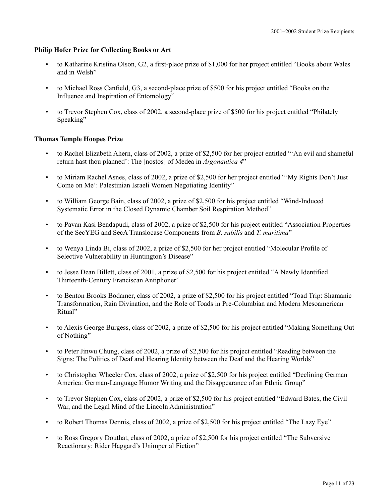## **Philip Hofer Prize for Collecting Books or Art**

- to Katharine Kristina Olson, G2, a first-place prize of \$1,000 for her project entitled "Books about Wales and in Welsh"
- to Michael Ross Canfield, G3, a second-place prize of \$500 for his project entitled "Books on the Influence and Inspiration of Entomology"
- to Trevor Stephen Cox, class of 2002, a second-place prize of \$500 for his project entitled "Philately Speaking"

## **Thomas Temple Hoopes Prize**

- to Rachel Elizabeth Ahern, class of 2002, a prize of \$2,500 for her project entitled "'An evil and shameful return hast thou planned': The [nostos] of Medea in *Argonautica 4*"
- to Miriam Rachel Asnes, class of 2002, a prize of \$2,500 for her project entitled "'My Rights Don't Just Come on Me': Palestinian Israeli Women Negotiating Identity"
- to William George Bain, class of 2002, a prize of \$2,500 for his project entitled "Wind-Induced Systematic Error in the Closed Dynamic Chamber Soil Respiration Method"
- to Pavan Kasi Bendapudi, class of 2002, a prize of \$2,500 for his project entitled "Association Properties of the SecYEG and SecA Translocase Components from *B. subilis* and *T. maritima*"
- to Wenya Linda Bi, class of 2002, a prize of \$2,500 for her project entitled "Molecular Profile of Selective Vulnerability in Huntington's Disease"
- to Jesse Dean Billett, class of 2001, a prize of \$2,500 for his project entitled "A Newly Identified Thirteenth-Century Franciscan Antiphoner"
- to Benton Brooks Bodamer, class of 2002, a prize of \$2,500 for his project entitled "Toad Trip: Shamanic Transformation, Rain Divination, and the Role of Toads in Pre-Columbian and Modern Mesoamerican Ritual"
- to Alexis George Burgess, class of 2002, a prize of \$2,500 for his project entitled "Making Something Out of Nothing"
- to Peter Jinwu Chung, class of 2002, a prize of \$2,500 for his project entitled "Reading between the Signs: The Politics of Deaf and Hearing Identity between the Deaf and the Hearing Worlds"
- to Christopher Wheeler Cox, class of 2002, a prize of \$2,500 for his project entitled "Declining German America: German-Language Humor Writing and the Disappearance of an Ethnic Group"
- to Trevor Stephen Cox, class of 2002, a prize of \$2,500 for his project entitled "Edward Bates, the Civil War, and the Legal Mind of the Lincoln Administration"
- to Robert Thomas Dennis, class of 2002, a prize of \$2,500 for his project entitled "The Lazy Eye"
- to Ross Gregory Douthat, class of 2002, a prize of \$2,500 for his project entitled "The Subversive Reactionary: Rider Haggard's Unimperial Fiction"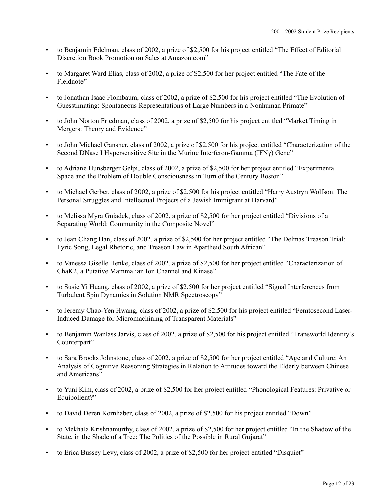- to Benjamin Edelman, class of 2002, a prize of \$2,500 for his project entitled "The Effect of Editorial Discretion Book Promotion on Sales at Amazon.com"
- to Margaret Ward Elias, class of 2002, a prize of \$2,500 for her project entitled "The Fate of the Fieldnote"
- to Jonathan Isaac Flombaum, class of 2002, a prize of \$2,500 for his project entitled "The Evolution of Guesstimating: Spontaneous Representations of Large Numbers in a Nonhuman Primate"
- to John Norton Friedman, class of 2002, a prize of \$2,500 for his project entitled "Market Timing in Mergers: Theory and Evidence"
- to John Michael Gansner, class of 2002, a prize of \$2,500 for his project entitled "Characterization of the Second DNase I Hypersensitive Site in the Murine Interferon-Gamma (IFNγ) Gene"
- to Adriane Hunsberger Gelpi, class of 2002, a prize of \$2,500 for her project entitled "Experimental Space and the Problem of Double Consciousness in Turn of the Century Boston"
- to Michael Gerber, class of 2002, a prize of \$2,500 for his project entitled "Harry Austryn Wolfson: The Personal Struggles and Intellectual Projects of a Jewish Immigrant at Harvard"
- to Melissa Myra Gniadek, class of 2002, a prize of \$2,500 for her project entitled "Divisions of a Separating World: Community in the Composite Novel"
- to Jean Chang Han, class of 2002, a prize of \$2,500 for her project entitled "The Delmas Treason Trial: Lyric Song, Legal Rhetoric, and Treason Law in Apartheid South African"
- to Vanessa Giselle Henke, class of 2002, a prize of \$2,500 for her project entitled "Characterization of ChaK2, a Putative Mammalian Ion Channel and Kinase"
- to Susie Yi Huang, class of 2002, a prize of \$2,500 for her project entitled "Signal Interferences from Turbulent Spin Dynamics in Solution NMR Spectroscopy"
- to Jeremy Chao-Yen Hwang, class of 2002, a prize of \$2,500 for his project entitled "Femtosecond Laser-Induced Damage for Micromachining of Transparent Materials"
- to Benjamin Wanlass Jarvis, class of 2002, a prize of \$2,500 for his project entitled "Transworld Identity's Counterpart"
- to Sara Brooks Johnstone, class of 2002, a prize of \$2,500 for her project entitled "Age and Culture: An Analysis of Cognitive Reasoning Strategies in Relation to Attitudes toward the Elderly between Chinese and Americans"
- to Yuni Kim, class of 2002, a prize of \$2,500 for her project entitled "Phonological Features: Privative or Equipollent?"
- to David Deren Kornhaber, class of 2002, a prize of \$2,500 for his project entitled "Down"
- to Mekhala Krishnamurthy, class of 2002, a prize of \$2,500 for her project entitled "In the Shadow of the State, in the Shade of a Tree: The Politics of the Possible in Rural Gujarat"
- to Erica Bussey Levy, class of 2002, a prize of \$2,500 for her project entitled "Disquiet"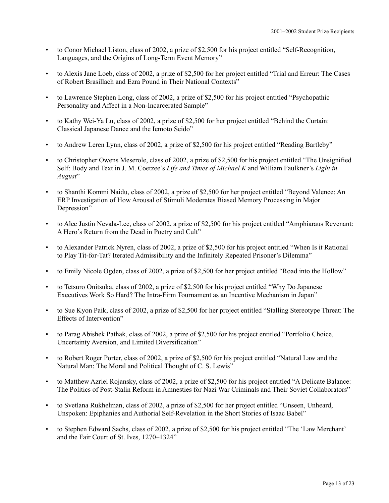- to Conor Michael Liston, class of 2002, a prize of \$2,500 for his project entitled "Self-Recognition, Languages, and the Origins of Long-Term Event Memory"
- to Alexis Jane Loeb, class of 2002, a prize of \$2,500 for her project entitled "Trial and Erreur: The Cases of Robert Brasillach and Ezra Pound in Their National Contexts"
- to Lawrence Stephen Long, class of 2002, a prize of \$2,500 for his project entitled "Psychopathic Personality and Affect in a Non-Incarcerated Sample"
- to Kathy Wei-Ya Lu, class of 2002, a prize of \$2,500 for her project entitled "Behind the Curtain: Classical Japanese Dance and the Iemoto Seido"
- to Andrew Leren Lynn, class of 2002, a prize of \$2,500 for his project entitled "Reading Bartleby"
- to Christopher Owens Meserole, class of 2002, a prize of \$2,500 for his project entitled "The Unsignified Self: Body and Text in J. M. Coetzee's *Life and Times of Michael K* and William Faulkner's *Light in August*"
- to Shanthi Kommi Naidu, class of 2002, a prize of \$2,500 for her project entitled "Beyond Valence: An ERP Investigation of How Arousal of Stimuli Moderates Biased Memory Processing in Major Depression"
- to Alec Justin Nevala-Lee, class of 2002, a prize of \$2,500 for his project entitled "Amphiaraus Revenant: A Hero's Return from the Dead in Poetry and Cult"
- to Alexander Patrick Nyren, class of 2002, a prize of \$2,500 for his project entitled "When Is it Rational to Play Tit-for-Tat? Iterated Admissibility and the Infinitely Repeated Prisoner's Dilemma"
- to Emily Nicole Ogden, class of 2002, a prize of \$2,500 for her project entitled "Road into the Hollow"
- to Tetsuro Onitsuka, class of 2002, a prize of \$2,500 for his project entitled "Why Do Japanese Executives Work So Hard? The Intra-Firm Tournament as an Incentive Mechanism in Japan"
- to Sue Kyon Paik, class of 2002, a prize of \$2,500 for her project entitled "Stalling Stereotype Threat: The Effects of Intervention"
- to Parag Abishek Pathak, class of 2002, a prize of \$2,500 for his project entitled "Portfolio Choice, Uncertainty Aversion, and Limited Diversification"
- to Robert Roger Porter, class of 2002, a prize of \$2,500 for his project entitled "Natural Law and the Natural Man: The Moral and Political Thought of C. S. Lewis"
- to Matthew Azriel Rojansky, class of 2002, a prize of \$2,500 for his project entitled "A Delicate Balance: The Politics of Post-Stalin Reform in Amnesties for Nazi War Criminals and Their Soviet Collaborators"
- to Svetlana Rukhelman, class of 2002, a prize of \$2,500 for her project entitled "Unseen, Unheard, Unspoken: Epiphanies and Authorial Self-Revelation in the Short Stories of Isaac Babel"
- to Stephen Edward Sachs, class of 2002, a prize of \$2,500 for his project entitled "The 'Law Merchant' and the Fair Court of St. Ives, 1270–1324"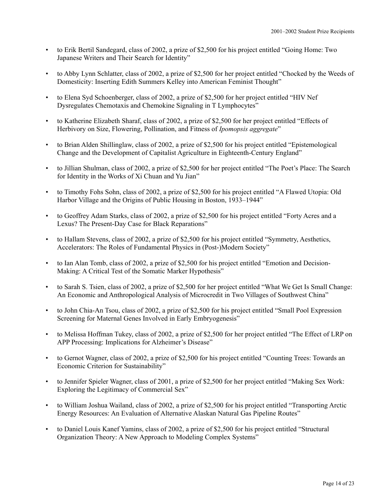- to Erik Bertil Sandegard, class of 2002, a prize of \$2,500 for his project entitled "Going Home: Two Japanese Writers and Their Search for Identity"
- to Abby Lynn Schlatter, class of 2002, a prize of \$2,500 for her project entitled "Chocked by the Weeds of Domesticity: Inserting Edith Summers Kelley into American Feminist Thought"
- to Elena Syd Schoenberger, class of 2002, a prize of \$2,500 for her project entitled "HIV Nef Dysregulates Chemotaxis and Chemokine Signaling in T Lymphocytes"
- to Katherine Elizabeth Sharaf, class of 2002, a prize of \$2,500 for her project entitled "Effects of Herbivory on Size, Flowering, Pollination, and Fitness of *Ipomopsis aggregate*"
- to Brian Alden Shillinglaw, class of 2002, a prize of \$2,500 for his project entitled "Epistemological Change and the Development of Capitalist Agriculture in Eighteenth-Century England"
- to Jillian Shulman, class of 2002, a prize of \$2,500 for her project entitled "The Poet's Place: The Search for Identity in the Works of Xi Chuan and Yu Jian"
- to Timothy Fohs Sohn, class of 2002, a prize of \$2,500 for his project entitled "A Flawed Utopia: Old Harbor Village and the Origins of Public Housing in Boston, 1933–1944"
- to Geoffrey Adam Starks, class of 2002, a prize of \$2,500 for his project entitled "Forty Acres and a Lexus? The Present-Day Case for Black Reparations"
- to Hallam Stevens, class of 2002, a prize of \$2,500 for his project entitled "Symmetry, Aesthetics, Accelerators: The Roles of Fundamental Physics in (Post-)Modern Society"
- to Ian Alan Tomb, class of 2002, a prize of \$2,500 for his project entitled "Emotion and Decision-Making: A Critical Test of the Somatic Marker Hypothesis"
- to Sarah S. Tsien, class of 2002, a prize of \$2,500 for her project entitled "What We Get Is Small Change: An Economic and Anthropological Analysis of Microcredit in Two Villages of Southwest China"
- to John Chia-An Tsou, class of 2002, a prize of \$2,500 for his project entitled "Small Pool Expression Screening for Maternal Genes Involved in Early Embryogenesis"
- to Melissa Hoffman Tukey, class of 2002, a prize of \$2,500 for her project entitled "The Effect of LRP on APP Processing: Implications for Alzheimer's Disease"
- to Gernot Wagner, class of 2002, a prize of \$2,500 for his project entitled "Counting Trees: Towards an Economic Criterion for Sustainability"
- to Jennifer Spieler Wagner, class of 2001, a prize of \$2,500 for her project entitled "Making Sex Work: Exploring the Legitimacy of Commercial Sex"
- to William Joshua Wailand, class of 2002, a prize of \$2,500 for his project entitled "Transporting Arctic Energy Resources: An Evaluation of Alternative Alaskan Natural Gas Pipeline Routes"
- to Daniel Louis Kanef Yamins, class of 2002, a prize of \$2,500 for his project entitled "Structural Organization Theory: A New Approach to Modeling Complex Systems"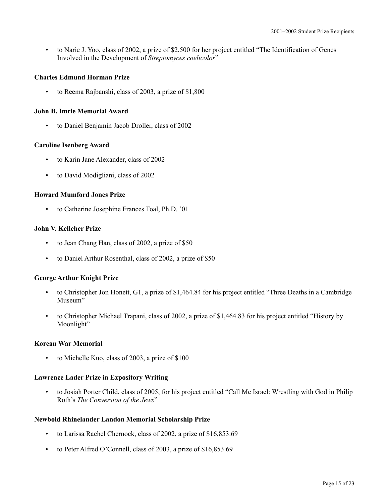• to Narie J. Yoo, class of 2002, a prize of \$2,500 for her project entitled "The Identification of Genes Involved in the Development of *Streptomyces coelicolor*"

# **Charles Edmund Horman Prize**

• to Reema Rajbanshi, class of 2003, a prize of \$1,800

# **John B. Imrie Memorial Award**

• to Daniel Benjamin Jacob Droller, class of 2002

# **Caroline Isenberg Award**

- to Karin Jane Alexander, class of 2002
- to David Modigliani, class of 2002

# **Howard Mumford Jones Prize**

• to Catherine Josephine Frances Toal, Ph.D. '01

# **John V. Kelleher Prize**

- to Jean Chang Han, class of 2002, a prize of \$50
- to Daniel Arthur Rosenthal, class of 2002, a prize of \$50

# **George Arthur Knight Prize**

- to Christopher Jon Honett, G1, a prize of \$1,464.84 for his project entitled "Three Deaths in a Cambridge Museum"
- to Christopher Michael Trapani, class of 2002, a prize of \$1,464.83 for his project entitled "History by Moonlight"

# **Korean War Memorial**

to Michelle Kuo, class of 2003, a prize of \$100

# **Lawrence Lader Prize in Expository Writing**

• to Josiah Porter Child, class of 2005, for his project entitled "Call Me Israel: Wrestling with God in Philip Roth's *The Conversion of the Jews*"

# **Newbold Rhinelander Landon Memorial Scholarship Prize**

- to Larissa Rachel Chernock, class of 2002, a prize of \$16,853.69
- to Peter Alfred O'Connell, class of 2003, a prize of \$16,853.69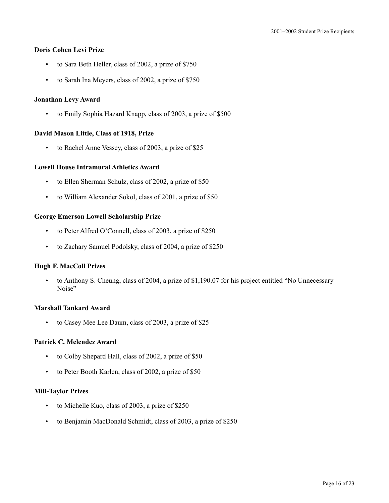## **Doris Cohen Levi Prize**

- to Sara Beth Heller, class of 2002, a prize of \$750
- to Sarah Ina Meyers, class of 2002, a prize of \$750

## **Jonathan Levy Award**

• to Emily Sophia Hazard Knapp, class of 2003, a prize of \$500

## **David Mason Little, Class of 1918, Prize**

• to Rachel Anne Vessey, class of 2003, a prize of \$25

## **Lowell House Intramural Athletics Award**

- to Ellen Sherman Schulz, class of 2002, a prize of \$50
- to William Alexander Sokol, class of 2001, a prize of \$50

## **George Emerson Lowell Scholarship Prize**

- to Peter Alfred O'Connell, class of 2003, a prize of \$250
- to Zachary Samuel Podolsky, class of 2004, a prize of \$250

#### **Hugh F. MacColl Prizes**

• to Anthony S. Cheung, class of 2004, a prize of \$1,190.07 for his project entitled "No Unnecessary Noise"

#### **Marshall Tankard Award**

• to Casey Mee Lee Daum, class of 2003, a prize of \$25

## **Patrick C. Melendez Award**

- to Colby Shepard Hall, class of 2002, a prize of \$50
- to Peter Booth Karlen, class of 2002, a prize of \$50

## **Mill-Taylor Prizes**

- to Michelle Kuo, class of 2003, a prize of \$250
- to Benjamin MacDonald Schmidt, class of 2003, a prize of \$250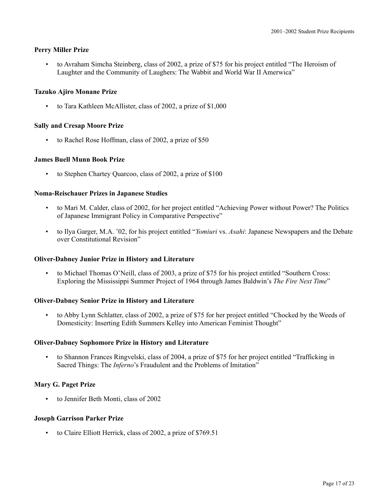# **Perry Miller Prize**

• to Avraham Simcha Steinberg, class of 2002, a prize of \$75 for his project entitled "The Heroism of Laughter and the Community of Laughers: The Wabbit and World War II Amerwica"

## **Tazuko Ajiro Monane Prize**

• to Tara Kathleen McAllister, class of 2002, a prize of \$1,000

## **Sally and Cresap Moore Prize**

to Rachel Rose Hoffman, class of 2002, a prize of \$50

## **James Buell Munn Book Prize**

to Stephen Chartey Quarcoo, class of 2002, a prize of \$100

## **Noma-Reischauer Prizes in Japanese Studies**

- to Mari M. Calder, class of 2002, for her project entitled "Achieving Power without Power? The Politics of Japanese Immigrant Policy in Comparative Perspective"
- to Ilya Garger, M.A. '02, for his project entitled "*Yomiuri* vs. *Asahi*: Japanese Newspapers and the Debate over Constitutional Revision"

#### **Oliver-Dabney Junior Prize in History and Literature**

• to Michael Thomas O'Neill, class of 2003, a prize of \$75 for his project entitled "Southern Cross: Exploring the Mississippi Summer Project of 1964 through James Baldwin's *The Fire Next Time*"

# **Oliver-Dabney Senior Prize in History and Literature**

• to Abby Lynn Schlatter, class of 2002, a prize of \$75 for her project entitled "Chocked by the Weeds of Domesticity: Inserting Edith Summers Kelley into American Feminist Thought"

#### **Oliver-Dabney Sophomore Prize in History and Literature**

• to Shannon Frances Ringvelski, class of 2004, a prize of \$75 for her project entitled "Trafficking in Sacred Things: The *Inferno*'s Fraudulent and the Problems of Imitation"

# **Mary G. Paget Prize**

to Jennifer Beth Monti, class of 2002

#### **Joseph Garrison Parker Prize**

• to Claire Elliott Herrick, class of 2002, a prize of \$769.51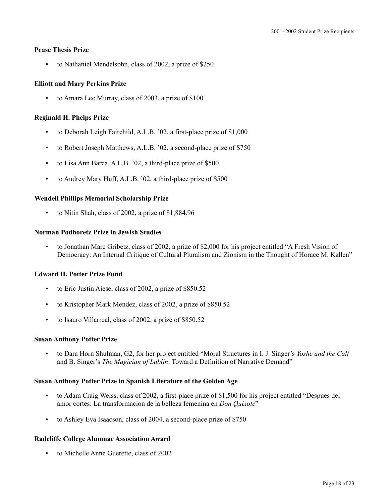## **Pease Thesis Prize**

• to Nathaniel Mendelsohn, class of 2002, a prize of \$250

## **Elliott and Mary Perkins Prize**

• to Amara Lee Murray, class of 2003, a prize of \$100

## **Reginald H. Phelps Prize**

- to Deborah Leigh Fairchild, A.L.B. '02, a first-place prize of \$1,000
- to Robert Joseph Matthews, A.L.B. '02, a second-place prize of \$750
- to Lisa Ann Barca, A.L.B. '02, a third-place prize of \$500
- to Audrey Mary Huff, A.L.B. '02, a third-place prize of \$500

## **Wendell Phillips Memorial Scholarship Prize**

• to Nitin Shah, class of 2002, a prize of \$1,884.96

## **Norman Podhoretz Prize in Jewish Studies**

• to Jonathan Marc Gribetz, class of 2002, a prize of \$2,000 for his project entitled "A Fresh Vision of Democracy: An Internal Critique of Cultural Pluralism and Zionism in the Thought of Horace M. Kallen"

# **Edward H. Potter Prize Fund**

- to Eric Justin Aiese, class of 2002, a prize of \$850.52
- to Kristopher Mark Mendez, class of 2002, a prize of \$850.52
- to Isauro Villarreal, class of 2002, a prize of \$850.52

#### **Susan Anthony Potter Prize**

• to Dara Horn Shulman, G2, for her project entitled "Moral Structures in I. J. Singer's *Yoshe and the Calf*  and B. Singer's *The Magician of Lublin*: Toward a Definition of Narrative Demand"

## **Susan Anthony Potter Prize in Spanish Literature of the Golden Age**

- to Adam Craig Weiss, class of 2002, a first-place prize of \$1,500 for his project entitled "Despues del amor cortes: La transformacion de la belleza femenina en *Don Quixote*"
- to Ashley Eva Isaacson, class of 2004, a second-place prize of \$750

# **Radcliffe College Alumnae Association Award**

• to Michelle Anne Guerette, class of 2002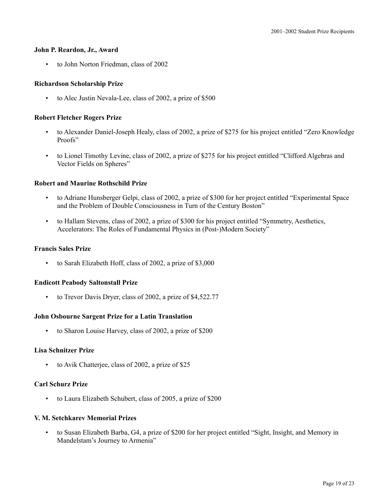#### **John P. Reardon, Jr., Award**

• to John Norton Friedman, class of 2002

# **Richardson Scholarship Prize**

• to Alec Justin Nevala-Lee, class of 2002, a prize of \$500

# **Robert Fletcher Rogers Prize**

- to Alexander Daniel-Joseph Healy, class of 2002, a prize of \$275 for his project entitled "Zero Knowledge Proofs"
- to Lionel Timothy Levine, class of 2002, a prize of \$275 for his project entitled "Clifford Algebras and Vector Fields on Spheres"

# **Robert and Maurine Rothschild Prize**

- to Adriane Hunsberger Gelpi, class of 2002, a prize of \$300 for her project entitled "Experimental Space and the Problem of Double Consciousness in Turn of the Century Boston"
- to Hallam Stevens, class of 2002, a prize of \$300 for his project entitled "Symmetry, Aesthetics, Accelerators: The Roles of Fundamental Physics in (Post-)Modern Society"

#### **Francis Sales Prize**

• to Sarah Elizabeth Hoff, class of 2002, a prize of \$3,000

# **Endicott Peabody Saltonstall Prize**

to Trevor Davis Dryer, class of 2002, a prize of \$4,522.77

# **John Osbourne Sargent Prize for a Latin Translation**

• to Sharon Louise Harvey, class of 2002, a prize of \$200

## **Lisa Schnitzer Prize**

• to Avik Chatterjee, class of 2002, a prize of \$25

# **Carl Schurz Prize**

• to Laura Elizabeth Schubert, class of 2005, a prize of \$200

# **V. M. Setchkarev Memorial Prizes**

• to Susan Elizabeth Barba, G4, a prize of \$200 for her project entitled "Sight, Insight, and Memory in Mandelstam's Journey to Armenia"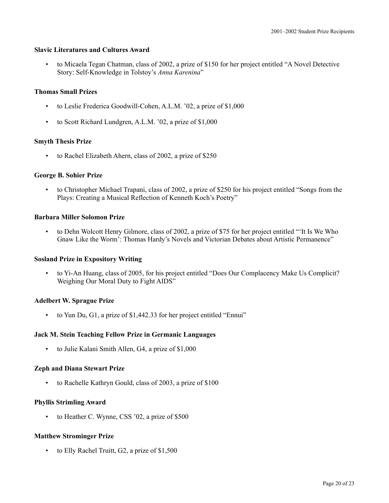## **Slavic Literatures and Cultures Award**

• to Micaela Tegan Chatman, class of 2002, a prize of \$150 for her project entitled "A Novel Detective Story: Self-Knowledge in Tolstoy's *Anna Karenina*"

## **Thomas Small Prizes**

- to Leslie Frederica Goodwill-Cohen, A.L.M. '02, a prize of \$1,000
- to Scott Richard Lundgren, A.L.M. '02, a prize of \$1,000

## **Smyth Thesis Prize**

• to Rachel Elizabeth Ahern, class of 2002, a prize of \$250

## **George B. Sohier Prize**

• to Christopher Michael Trapani, class of 2002, a prize of \$250 for his project entitled "Songs from the Plays: Creating a Musical Reflection of Kenneth Koch's Poetry"

## **Barbara Miller Solomon Prize**

• to Dehn Wolcott Henry Gilmore, class of 2002, a prize of \$75 for her project entitled "'It Is We Who Gnaw Like the Worm': Thomas Hardy's Novels and Victorian Debates about Artistic Permanence"

# **Sosland Prize in Expository Writing**

• to Yi-An Huang, class of 2005, for his project entitled "Does Our Complacency Make Us Complicit? Weighing Our Moral Duty to Fight AIDS"

# **Adelbert W. Sprague Prize**

• to Yun Du, G1, a prize of \$1,442.33 for her project entitled "Ennui"

# **Jack M. Stein Teaching Fellow Prize in Germanic Languages**

• to Julie Kalani Smith Allen, G4, a prize of \$1,000

# **Zeph and Diana Stewart Prize**

• to Rachelle Kathryn Gould, class of 2003, a prize of \$100

#### **Phyllis Strimling Award**

• to Heather C. Wynne, CSS '02, a prize of \$500

# **Matthew Strominger Prize**

• to Elly Rachel Truitt, G2, a prize of \$1,500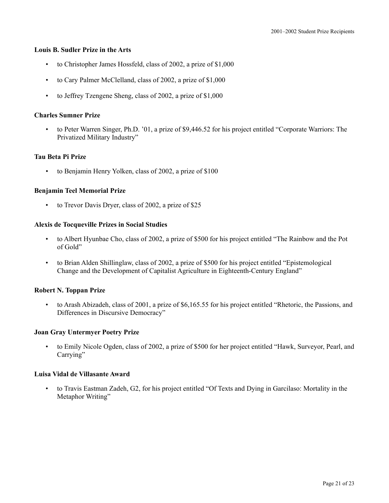#### **Louis B. Sudler Prize in the Arts**

- to Christopher James Hossfeld, class of 2002, a prize of \$1,000
- to Cary Palmer McClelland, class of 2002, a prize of \$1,000
- to Jeffrey Tzengene Sheng, class of 2002, a prize of \$1,000

# **Charles Sumner Prize**

• to Peter Warren Singer, Ph.D. '01, a prize of \$9,446.52 for his project entitled "Corporate Warriors: The Privatized Military Industry"

# **Tau Beta Pi Prize**

to Benjamin Henry Yolken, class of 2002, a prize of \$100

# **Benjamin Teel Memorial Prize**

• to Trevor Davis Dryer, class of 2002, a prize of \$25

# **Alexis de Tocqueville Prizes in Social Studies**

- to Albert Hyunbae Cho, class of 2002, a prize of \$500 for his project entitled "The Rainbow and the Pot of Gold"
- to Brian Alden Shillinglaw, class of 2002, a prize of \$500 for his project entitled "Epistemological Change and the Development of Capitalist Agriculture in Eighteenth-Century England"

# **Robert N. Toppan Prize**

• to Arash Abizadeh, class of 2001, a prize of \$6,165.55 for his project entitled "Rhetoric, the Passions, and Differences in Discursive Democracy"

# **Joan Gray Untermyer Poetry Prize**

• to Emily Nicole Ogden, class of 2002, a prize of \$500 for her project entitled "Hawk, Surveyor, Pearl, and Carrying"

# **Luisa Vidal de Villasante Award**

• to Travis Eastman Zadeh, G2, for his project entitled "Of Texts and Dying in Garcilaso: Mortality in the Metaphor Writing"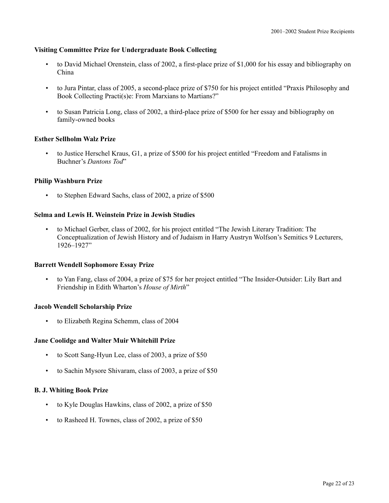# **Visiting Committee Prize for Undergraduate Book Collecting**

- to David Michael Orenstein, class of 2002, a first-place prize of \$1,000 for his essay and bibliography on China
- to Jura Pintar, class of 2005, a second-place prize of \$750 for his project entitled "Praxis Philosophy and Book Collecting Practi(s)e: From Marxians to Martians?"
- to Susan Patricia Long, class of 2002, a third-place prize of \$500 for her essay and bibliography on family-owned books

# **Esther Sellholm Walz Prize**

• to Justice Herschel Kraus, G1, a prize of \$500 for his project entitled "Freedom and Fatalisms in Buchner's *Dantons Tod*"

## **Philip Washburn Prize**

• to Stephen Edward Sachs, class of 2002, a prize of \$500

## **Selma and Lewis H. Weinstein Prize in Jewish Studies**

• to Michael Gerber, class of 2002, for his project entitled "The Jewish Literary Tradition: The Conceptualization of Jewish History and of Judaism in Harry Austryn Wolfson's Semitics 9 Lecturers, 1926–1927"

#### **Barrett Wendell Sophomore Essay Prize**

• to Yan Fang, class of 2004, a prize of \$75 for her project entitled "The Insider-Outsider: Lily Bart and Friendship in Edith Wharton's *House of Mirth*"

#### **Jacob Wendell Scholarship Prize**

• to Elizabeth Regina Schemm, class of 2004

#### **Jane Coolidge and Walter Muir Whitehill Prize**

- to Scott Sang-Hyun Lee, class of 2003, a prize of \$50
- to Sachin Mysore Shivaram, class of 2003, a prize of \$50

#### **B. J. Whiting Book Prize**

- to Kyle Douglas Hawkins, class of 2002, a prize of \$50
- to Rasheed H. Townes, class of 2002, a prize of \$50